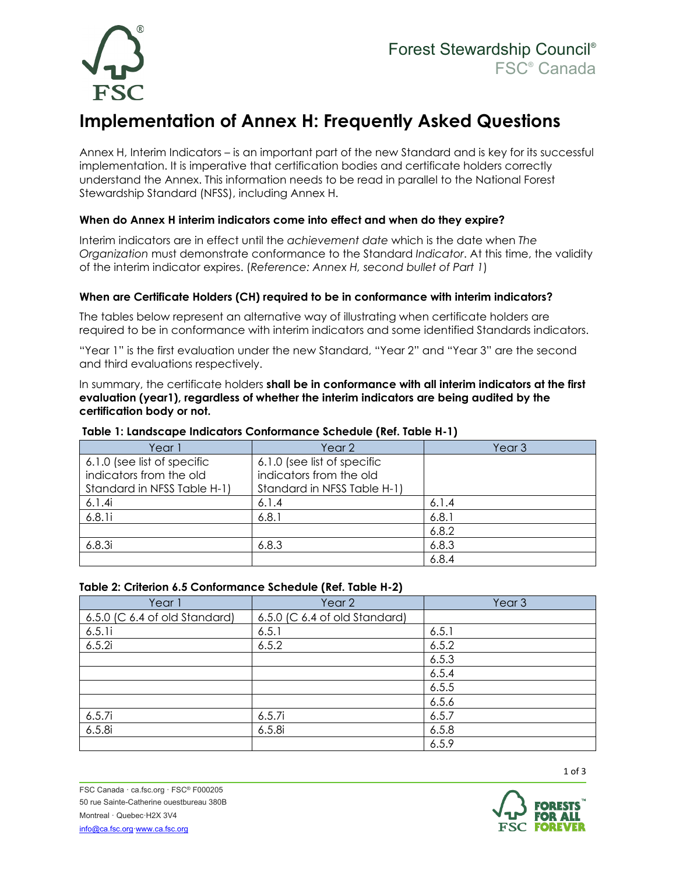

# **Implementation of Annex H: Frequently Asked Questions**

Annex H, Interim Indicators – is an important part of the new Standard and is key for its successful implementation. It is imperative that certification bodies and certificate holders correctly understand the Annex. This information needs to be read in parallel to the National Forest Stewardship Standard (NFSS), including Annex H.

## **When do Annex H interim indicators come into effect and when do they expire?**

Interim indicators are in effect until the *achievement date* which is the date when *The Organization* must demonstrate conformance to the Standard *Indicator*. At this time, the validity of the interim indicator expires. (*Reference: Annex H, second bullet of Part 1*)

### **When are Certificate Holders (CH) required to be in conformance with interim indicators?**

The tables below represent an alternative way of illustrating when certificate holders are required to be in conformance with interim indicators and some identified Standards indicators.

"Year 1" is the first evaluation under the new Standard, "Year 2" and "Year 3" are the second and third evaluations respectively.

In summary, the certificate holders **shall be in conformance with all interim indicators at the first evaluation (year1), regardless of whether the interim indicators are being audited by the certification body or not.**

| Year 1                      | Year <sub>2</sub>           | Year <sub>3</sub> |
|-----------------------------|-----------------------------|-------------------|
| 6.1.0 (see list of specific | 6.1.0 (see list of specific |                   |
| indicators from the old     | indicators from the old     |                   |
| Standard in NFSS Table H-1) | Standard in NFSS Table H-1) |                   |
| 6.1.4i                      | 6.1.4                       | 6.1.4             |
| 6.8.1i                      | 6.8.1                       | 6.8.1             |
|                             |                             | 6.8.2             |
| 6.8.3i                      | 6.8.3                       | 6.8.3             |
|                             |                             | 6.8.4             |

#### **Table 1: Landscape Indicators Conformance Schedule (Ref. Table H-1)**

#### **Table 2: Criterion 6.5 Conformance Schedule (Ref. Table H-2)**

| Year 1                        | Year 2                        | Year <sub>3</sub> |
|-------------------------------|-------------------------------|-------------------|
| 6.5.0 (C 6.4 of old Standard) | 6.5.0 (C 6.4 of old Standard) |                   |
| 6.5.1i                        | 6.5.1                         | 6.5.1             |
| 6.5.2i                        | 6.5.2                         | 6.5.2             |
|                               |                               | 6.5.3             |
|                               |                               | 6.5.4             |
|                               |                               | 6.5.5             |
|                               |                               | 6.5.6             |
| 6.5.7i                        | 6.5.7i                        | 6.5.7             |
| 6.5.8i                        | 6.5.8i                        | 6.5.8             |
|                               |                               | 6.5.9             |

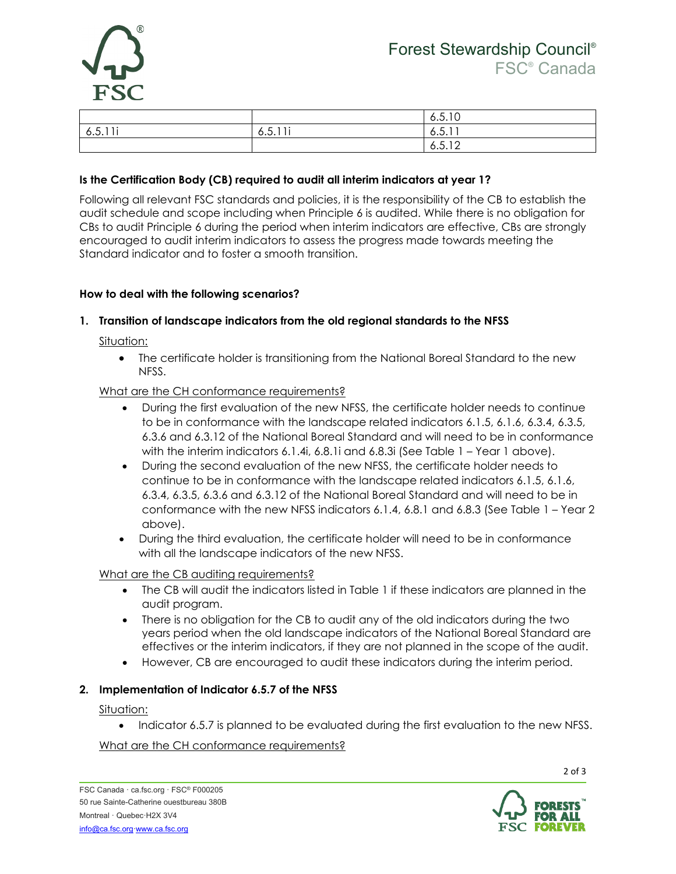

|                                                 |         | 6.5.10 |
|-------------------------------------------------|---------|--------|
| $\prime$ $\sim$ $\sim$ $\sim$ $\sim$<br>6.5.11. | 6.5.11i | 6.5.11 |
|                                                 |         | 6.5.12 |

## **Is the Certification Body (CB) required to audit all interim indicators at year 1?**

Following all relevant FSC standards and policies, it is the responsibility of the CB to establish the audit schedule and scope including when Principle 6 is audited. While there is no obligation for CBs to audit Principle 6 during the period when interim indicators are effective, CBs are strongly encouraged to audit interim indicators to assess the progress made towards meeting the Standard indicator and to foster a smooth transition.

#### **How to deal with the following scenarios?**

#### **1. Transition of landscape indicators from the old regional standards to the NFSS**

Situation:

• The certificate holder is transitioning from the National Boreal Standard to the new NFSS.

#### What are the CH conformance requirements?

- During the first evaluation of the new NFSS, the certificate holder needs to continue to be in conformance with the landscape related indicators 6.1.5, 6.1.6, 6.3.4, 6.3.5, 6.3.6 and 6.3.12 of the National Boreal Standard and will need to be in conformance with the interim indicators 6.1.4i, 6.8.1i and 6.8.3i (See Table 1 – Year 1 above).
- During the second evaluation of the new NFSS, the certificate holder needs to continue to be in conformance with the landscape related indicators 6.1.5, 6.1.6, 6.3.4, 6.3.5, 6.3.6 and 6.3.12 of the National Boreal Standard and will need to be in conformance with the new NFSS indicators 6.1.4, 6.8.1 and 6.8.3 (See Table 1 – Year 2 above).
- During the third evaluation, the certificate holder will need to be in conformance with all the landscape indicators of the new NFSS.

#### What are the CB auditing requirements?

- The CB will audit the indicators listed in Table 1 if these indicators are planned in the audit program.
- There is no obligation for the CB to audit any of the old indicators during the two years period when the old landscape indicators of the National Boreal Standard are effectives or the interim indicators, if they are not planned in the scope of the audit.
- However, CB are encouraged to audit these indicators during the interim period.

#### **2. Implementation of Indicator 6.5.7 of the NFSS**

#### Situation:

• Indicator 6.5.7 is planned to be evaluated during the first evaluation to the new NFSS.

#### What are the CH conformance requirements?